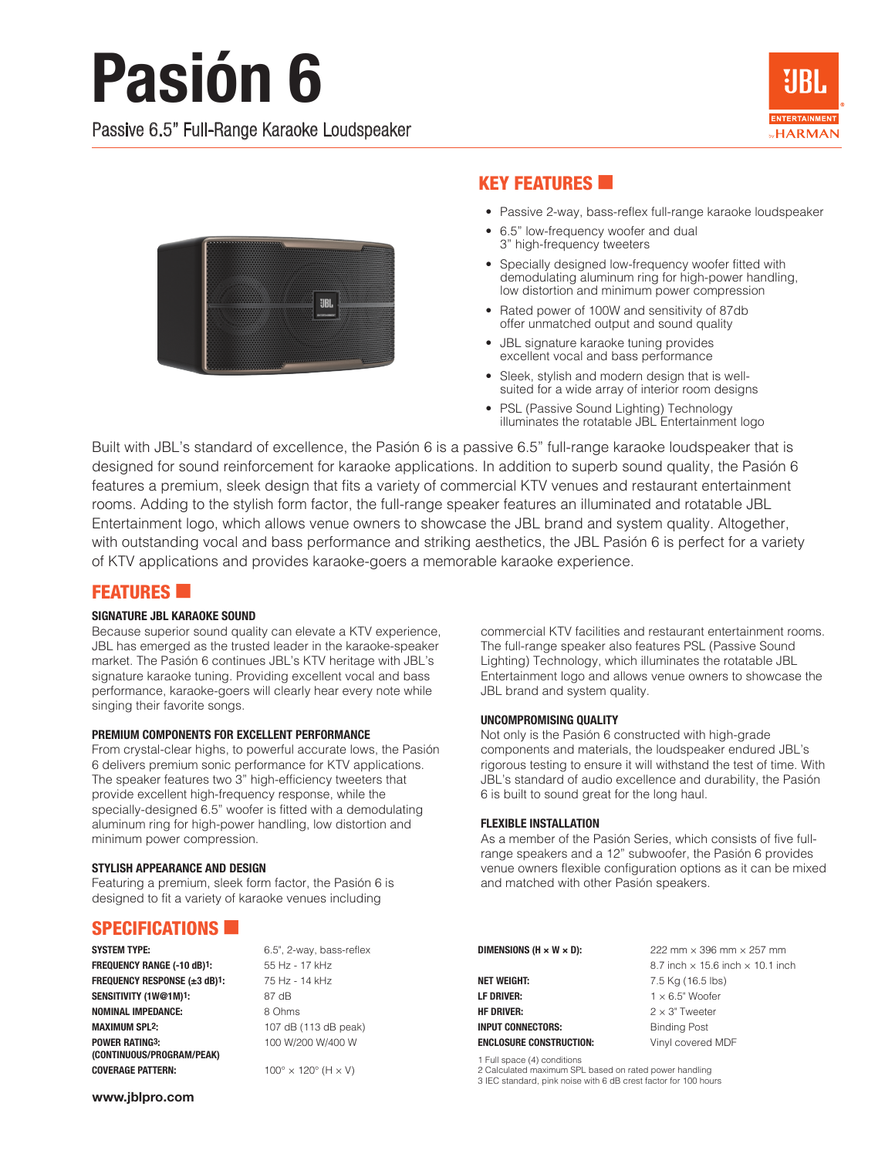# **Pasión 6**

Passive 6.5" Full-Range Karaoke Loudspeaker





## **KEY FEATURES**

- Passive 2-way, bass-reflex full-range karaoke loudspeaker
- 6.5" low-frequency woofer and dual 3" high-frequency tweeters
- Specially designed low-frequency woofer fitted with demodulating aluminum ring for high-power handling, low distortion and minimum power compression
- Rated power of 100W and sensitivity of 87db offer unmatched output and sound quality
- JBL signature karaoke tuning provides excellent vocal and bass performance
- Sleek, stylish and modern design that is wellsuited for a wide array of interior room designs
- PSL (Passive Sound Lighting) Technology illuminates the rotatable JBL Entertainment logo

Built with JBL's standard of excellence, the Pasión 6 is a passive 6.5" full-range karaoke loudspeaker that is designed for sound reinforcement for karaoke applications. In addition to superb sound quality, the Pasión 6 features a premium, sleek design that fits a variety of commercial KTV venues and restaurant entertainment rooms. Adding to the stylish form factor, the full-range speaker features an illuminated and rotatable JBL Entertainment logo, which allows venue owners to showcase the JBL brand and system quality. Altogether, with outstanding vocal and bass performance and striking aesthetics, the JBL Pasión 6 is perfect for a variety of KTV applications and provides karaoke-goers a memorable karaoke experience.

## **FEATURES**

### SIGNATURE JBL KARAOKE SOUND

Because superior sound quality can elevate a KTV experience, JBL has emerged as the trusted leader in the karaoke-speaker market. The Pasión 6 continues JBL's KTV heritage with JBL's signature karaoke tuning. Providing excellent vocal and bass performance, karaoke-goers will clearly hear every note while singing their favorite songs.

### PREMIUM COMPONENTS FOR EXCELLENT PERFORMANCE

From crystal-clear highs, to powerful accurate lows, the Pasión 6 delivers premium sonic performance for KTV applications. The speaker features two 3" high-efficiency tweeters that provide excellent high-frequency response, while the specially-designed 6.5" woofer is fitted with a demodulating aluminum ring for high-power handling, low distortion and minimum power compression.

### STYLISH APPEARANCE AND DESIGN

Featuring a premium, sleek form factor, the Pasión 6 is designed to fit a variety of karaoke venues including

## SPECIFICATIONS **6**

FREQUENCY RANGE (-10 dB)1: 55 Hz - 17 kHz FREQUENCY RESPONSE (±3 dB)1: 75 Hz - 14 kHz SENSITIVITY (1W@1M)<sup>1</sup>: 87 dB NOMINAL IMPEDANCE: 8 Ohms **MAXIMUM SPL2:** 107 dB (113 dB peak) **POWER RATING3:** 100 W/200 W/400 W (CONTINUOUS/PROGRAM/PEAK) **COVERAGE PATTERN:**  $100^\circ \times 120^\circ$  (H  $\times$  V)

SYSTEM TYPE: 6.5", 2-way, bass-reflex

commercial KTV facilities and restaurant entertainment rooms. The full-range speaker also features PSL (Passive Sound Lighting) Technology, which illuminates the rotatable JBL Entertainment logo and allows venue owners to showcase the JBL brand and system quality.

### UNCOMPROMISING QUALITY

Not only is the Pasión 6 constructed with high-grade components and materials, the loudspeaker endured JBL's rigorous testing to ensure it will withstand the test of time. With JBL's standard of audio excellence and durability, the Pasión 6 is built to sound great for the long haul.

### FLEXIBLE INSTALLATION

As a member of the Pasión Series, which consists of five fullrange speakers and a 12" subwoofer, the Pasión 6 provides venue owners flexible configuration options as it can be mixed and matched with other Pasión speakers.

**NET WEIGHT:** 7.5 Kg (16.5 lbs) **LF DRIVER:**  $1 \times 6.5$ " Woofer **HF DRIVER:**  $2 \times 3$ " Tweeter INPUT CONNECTORS: Binding Post ENCLOSURE CONSTRUCTION: Vinyl covered MDF

**DIMENSIONS (H × W × D):**  $222 \text{ mm} \times 396 \text{ mm} \times 257 \text{ mm}$ 8.7 inch  $\times$  15.6 inch  $\times$  10.1 inch

1 Full space (4) conditions

2 Calculated maximum SPL based on rated power handling

3 IEC standard, pink noise with 6 dB crest factor for 100 hours

www.jblpro.com